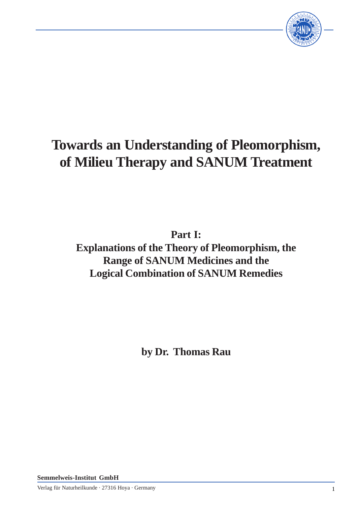

# **Towards an Understanding of Pleomorphism, of Milieu Therapy and SANUM Treatment**

**Part I:**

**Explanations of the Theory of Pleomorphism, the Range of SANUM Medicines and the Logical Combination of SANUM Remedies**

**by Dr. Thomas Rau**

**Semmelweis-Institut GmbH**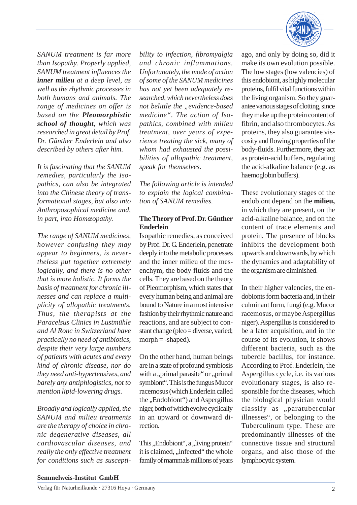

*SANUM treatment is far more than Isopathy. Properly applied, SANUM treatment influences the inner milieu at a deep level, as well as the rhythmic processes in both humans and animals. The range of medicines on offer is based on the Pleomorphistic school of thought, which was researched in great detail by Prof. Dr. Günther Enderlein and also described by others after him.*

*It is fascinating that the SANUM remedies, particularly the Isopathics, can also be integrated into the Chinese theory of transformational stages, but also into Anthroposophical medicine and, in part, into Homœopathy.*

*The range of SANUM medicines, however confusing they may appear to beginners, is nevertheless put together extremely logically, and there is no other that is more holistic. It forms the basis of treatment for chronic illnesses and can replace a multiplicity of allopathic treatments. Thus, the therapists at the Paracelsus Clinics in Lustmühle and Al Ronc in Switzerland have practically no need of antibiotics, despite their very large numbers of patients with acutes and every kind of chronic disease, nor do they need anti-hypertensives, and barely any antiphlogistics, not to mention lipid-lowering drugs.*

*Broadly and logically applied, the SANUM and milieu treatments are the therapy of choice in chronic degenerative diseases, all cardiovascular diseases, and really the only effective treatment for conditions such as suscepti-* *bility to infection, fibromyalgia and chronic inflammations. Unfortunately, the mode of action of some of the SANUM medicines has not yet been adequately researched, which nevertheless does not belittle the "evidence-based medicine". The action of Isopathics, combined with milieu treatment, over years of experience treating the sick, many of whom had exhausted the possibilities of allopathic treatment, speak for themselves.*

*The following article is intended to explain the logical combination of SANUM remedies.*

## **The Theory of Prof. Dr. Günther Enderlein**

Isopathic remedies, as conceived by Prof. Dr. G. Enderlein, penetrate deeply into the metabolic processes and the inner milieu of the mesenchym, the body fluids and the cells. They are based on the theory of Pleomorphism, which states that every human being and animal are bound to Nature in a most intensive fashion by their rhythmic nature and reactions, and are subject to constant change (pleo = diverse, varied;  $morph = -shaped$ ).

On the other hand, human beings are in a state of profound symbiosis with a "primal parasite" or "primal symbiont". This is the fungus Mucor racemosus (which Enderlein called the "Endobiont") and Aspergillus niger, both of which evolve cyclically in an upward or downward direction.

This "Endobiont", a "living protein" it is claimed, "infected" the whole family of mammals millions of years

ago, and only by doing so, did it make its own evolution possible. The low stages (low valencies) of this endobiont, as highly molecular proteins, fulfil vital functions within the living organism. So they guarantee various stages of clotting, since they make up the protein content of fibrin, and also thrombocytes. As proteins, they also guarantee viscosity and flowing properties of the body-fluids. Furthermore, they act as protein-acid buffers, regulating the acid-alkaline balance (e.g. as haemoglobin buffers).

These evolutionary stages of the endobiont depend on the **milieu,** in which they are present, on the acid-alkaline balance, and on the content of trace elements and protein. The presence of blocks inhibits the development both upwards and downwards, by which the dynamics and adaptability of the organism are diminished.

In their higher valencies, the endobionts form bacteria and, in their culminant form, fungi (e.g. Mucor racemosus, or maybe Aspergillus niger). Aspergillus is considered to be a later acquisition, and in the course of its evolution, it shows different bacteria, such as the tubercle bacillus, for instance. According to Prof. Enderlein, the Aspergillus cycle, i.e. its various evolutionary stages, is also responsible for the diseases, which the biological physician would classify as "paratubercular illnesses", or belonging to the Tuberculinum type. These are predominantly illnesses of the connective tissue and structural organs, and also those of the lymphocytic system.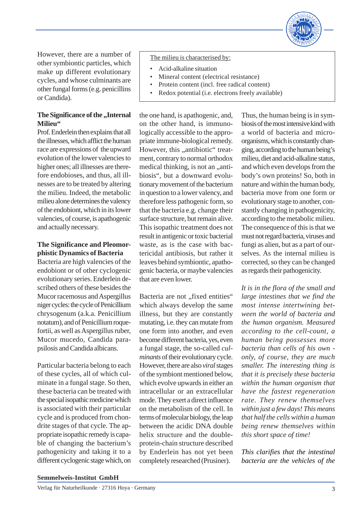

However, there are a number of other symbiontic particles, which make up different evolutionary cycles, and whose culminants are other fungal forms (e.g. penicillins or Candida).

## **The Significance of the , Internal Milieu"**

Prof. Enderlein then explains that all the illnesses, which afflict the human race are expressions of the upward evolution of the lower valencies to higher ones; all illnesses are therefore endobioses, and thus, all illnesses are to be treated by altering the milieu. Indeed, the metabolic milieu alone determines the valency of the endobiont, which in its lower valencies, of course, is apathogenic and actually necessary.

# **The Significance and Pleomorphistic Dynamics of Bacteria**

Bacteria are high valencies of the endobiont or of other cyclogenic evolutionary series. Enderlein described others of these besides the Mucor racemosus and Aspergillus niger cycles: the cycle of Penicillium chrysogenum (a.k.a. Penicillium notatum), and of Penicillium roquefortii, as well as Aspergillus ruber, Mucor mucedo, Candida parapsilosis and Candida albicans.

Particular bacteria belong to each of these cycles, all of which culminate in a fungal stage. So then, these bacteria can be treated with the special isopathic medicine which is associated with their particular cycle and is produced from chondrite stages of that cycle. The appropriate isopathic remedy is capable of changing the bacterium's pathogenicity and taking it to a different cyclogenic stage which, on

The milieu is characterised by:

- Acid-alkaline situation
- Mineral content (electrical resistance)
- Protein content (incl. free radical content)
- Redox potential (i.e. electrons freely available)

the one hand, is apathogenic, and, on the other hand, is immunologically accessible to the appropriate immune-biological remedy. However, this ..antibiotic" treatment, contrary to normal orthodox medical thinking, is not an "antibiosis", but a downward evolutionary movement of the bacterium in question to a lower valency, and therefore less pathogenic form, so that the bacteria e.g. change their surface structure, but remain alive. This isopathic treatment does not result in antigenic or toxic bacterial waste, as is the case with bactericidal antibiosis, but rather it leaves behind symbiontic, apathogenic bacteria, or maybe valencies that are even lower.

Bacteria are not "fixed entities" which always develop the same illness, but they are constantly mutating, i.e. they can mutate from one form into another, and even become different bacteria, yes, even a fungal stage, the so-called *culminants* of their evolutionary cycle. However, there are also *viral* stages of the symbiont mentioned below, which evolve upwards in either an intracellular or an extracellular mode. They exert a direct influence on the metabolism of the cell. In terms of molecular biology, the leap between the acidic DNA double helix structure and the doubleprotein-chain structure described by Enderlein has not yet been completely researched (Prusiner).

Thus, the human being is in symbiosis of the most intensive kind with a world of bacteria and microorganisms, which is constantly changing, according to the human being's milieu, diet and acid-alkaline status, and which even develops from the body's own proteins! So, both in nature and within the human body, bacteria move from one form or evolutionary stage to another, constantly changing in pathogenicity, according to the metabolic milieu. The consequence of this is that we must not regard bacteria, viruses and fungi as alien, but as a part of ourselves. As the internal milieu is corrected, so they can be changed as regards their pathogenicity.

*It is in the flora of the small and large intestines that we find the most intense intertwining between the world of bacteria and the human organism. Measured according to the cell-count, a human being possesses more bacteria than cells of his own only, of course, they are much smaller. The interesting thing is that it is precisely these bacteria within the human organism that have the fastest regeneration rate. They renew themselves within just a few days! This means that half the cells within a human being renew themselves within this short space of time!*

*This clarifies that the intestinal bacteria are the vehicles of the*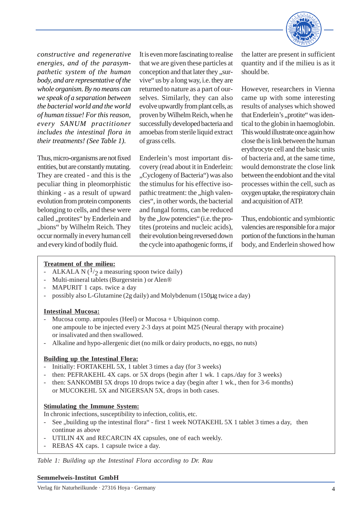

*constructive and regenerative energies, and of the parasympathetic system of the human body, and are representative of the whole organism. By no means can we speak of a separation between the bacterial world and the world of human tissue! For this reason, every SANUM practitioner includes the intestinal flora in their treatments! (See Table 1).*

Thus, micro-organisms are not fixed entities, but are constantly mutating. They are created - and this is the peculiar thing in pleomorphistic thinking - as a result of upward evolution from protein components belonging to cells, and these were called "protites" by Enderlein and "bions" by Wilhelm Reich. They occur normally in every human cell and every kind of bodily fluid.

It is even more fascinating to realise that we are given these particles at conception and that later they ..survive" us by a long way, i.e. they are returned to nature as a part of ourselves. Similarly, they can also evolve upwardly from plant cells, as proven by Wilhelm Reich, when he successfully developed bacteria and amoebas from sterile liquid extract of grass cells.

Enderlein's most important discovery (read about it in Enderlein: "Cyclogeny of Bacteria") was also the stimulus for his effective isopathic treatment: the "high valencies", in other words, the bacterial and fungal forms, can be reduced by the "low potencies" (i.e. the protites (proteins and nucleic acids), their evolution being reversed down the cycle into apathogenic forms, if the latter are present in sufficient quantity and if the milieu is as it should be.

However, researchers in Vienna came up with some interesting results of analyses which showed that Enderlein's "protite" was identical to the globin in haemoglobin. This would illustrate once again how close the is link between the human erythrocyte cell and the basic units of bacteria and, at the same time, would demonstrate the close link between the endobiont and the vital processes within the cell, such as oxygen uptake, the respiratory chain and acquisition of ATP.

Thus, endobiontic and symbiontic valencies are responsible for a major portion of the functions in the human body, and Enderlein showed how

## **Treatment of the milieu:**

- ALKALA N  $(1/2)$  a measuring spoon twice daily)
- Multi-mineral tablets (Burgerstein ) or Alen®
- MAPURIT 1 caps. twice a day
- possibly also L-Glutamine (2g daily) and Molybdenum (150µg twice a day)

#### **Intestinal Mucosa:**

- Mucosa comp. ampoules (Heel) or Mucosa + Ubiquinon comp. one ampoule to be injected every 2-3 days at point M25 (Neural therapy with procaine) or insalivated and then swallowed.
- Alkaline and hypo-allergenic diet (no milk or dairy products, no eggs, no nuts)

## **Building up the Intestinal Flora:**

- Initially: FORTAKEHL 5X, 1 tablet 3 times a day (for 3 weeks)
- then: PEFRAKEHL 4X caps. or 5X drops (begin after 1 wk. 1 caps./day for 3 weeks)
- then: SANKOMBI 5X drops 10 drops twice a day (begin after 1 wk., then for 3-6 months) or MUCOKEHL 5X and NIGERSAN 5X, drops in both cases.

## **Stimulating the Immune System:**

In chronic infections, susceptibility to infection, colitis, etc.

- See "building up the intestinal flora" first 1 week NOTAKEHL 5X 1 tablet 3 times a day, then continue as above
- UTILIN 4X and RECARCIN 4X capsules, one of each weekly.
- REBAS 4X caps. 1 capsule twice a day.

*Table 1: Building up the Intestinal Flora according to Dr. Rau*

#### **Semmelweis-Institut GmbH**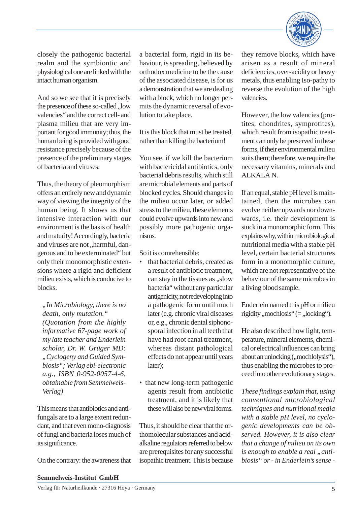

closely the pathogenic bacterial realm and the symbiontic and physiological one are linked with the intact human organism.

And so we see that it is precisely the presence of these so-called ,,low valencies" and the correct cell- and plasma milieu that are very important for good immunity; thus, the human being is provided with good resistance precisely because of the presence of the preliminary stages of bacteria and viruses.

Thus, the theory of pleomorphism offers an entirely new and dynamic way of viewing the integrity of the human being. It shows us that intensive interaction with our environment is the basis of health and maturity! Accordingly, bacteria and viruses are not ..harmful, dangerous and to be exterminated" but only their monomorphistic extensions where a rigid and deficient milieu exists, which is conducive to blocks.

*"In Microbiology, there is no death, only mutation." (Quotation from the highly informative 67-page work of my late teacher and Enderlein scholar, Dr. W. Grüger MD: "Cyclogeny and Guided Symbiosis"; Verlag ebi-electronic a.g., ISBN 0-952-0057-4-6, obtainable from Semmelweis-Verlag)*

This means that antibiotics and antifungals are to a large extent redundant, and that even mono-diagnosis of fungi and bacteria loses much of its significance.

On the contrary: the awareness that

a bacterial form, rigid in its behaviour, is spreading, believed by orthodox medicine to be the cause of the associated disease, is for us a demonstration that we are dealing with a block, which no longer permits the dynamic reversal of evolution to take place.

It is this block that must be treated, rather than killing the bacterium!

You see, if we kill the bacterium with bactericidal antibiotics, only bacterial debris results, which still are microbial elements and parts of blocked cycles. Should changes in the milieu occur later, or added stress to the milieu, these elements could evolve upwards into new and possibly more pathogenic organisms.

So it is comrehensible:

- that bacterial debris, created as a result of antibiotic treatment, can stay in the tissues as "slow bacteria" without any particular antigenicity, not redeveloping into a pathogenic form until much later (e.g. chronic viral diseases or, e.g., chronic dental siphonosporal infection in all teeth that have had root canal treatment, whereas distant pathological effects do not appear until years later);
- that new long-term pathogenic agents result from antibiotic treatment, and it is likely that these will also be new viral forms.

Thus, it should be clear that the orthomolecular substances and acidalkaline regulators referred to below are prerequisites for any successful isopathic treatment. This is because they remove blocks, which have arisen as a result of mineral deficiencies, over-acidity or heavy metals, thus enabling Iso-pathy to reverse the evolution of the high valencies.

However, the low valencies (protites, chondrites, symprotites), which result from isopathic treatment can only be preserved in these forms, if their environmental milieu suits them; therefore, we require the necessary vitamins, minerals and ALKALA N.

If an equal, stable pH level is maintained, then the microbes can evolve neither upwards nor downwards, i.e. their development is stuck in a monomorphic form. This explains why, within microbiological nutritional media with a stable pH level, certain bacterial structures form in a monomorphic culture, which are not representative of the behaviour of the same microbes in a living blood sample.

Enderlein named this pH or milieu rigidity,, mochlosis"  $(=$ , locking").

He also described how light, temperature, mineral elements, chemical or electrical influences can bring about an unlocking (,,mochlolysis"), thus enabling the microbes to proceed into other evolutionary stages.

*These findings explain that, using conventional microbiological techniques and nutritional media with a stable pH level, no cyclogenic developments can be observed. However, it is also clear that a change of milieu on its own* is enough to enable a real <sub>n</sub>anti*biosis" or - in Enderlein's sense -*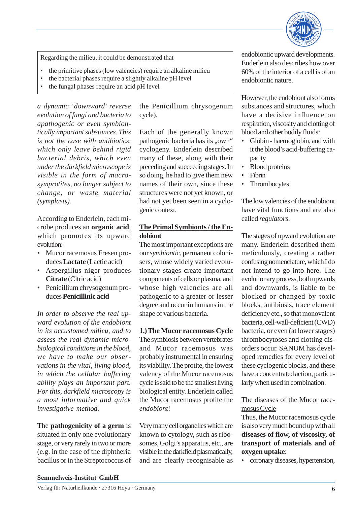

Regarding the milieu, it could be demonstrated that

- the primitive phases (low valencies) require an alkaline milieu
- the bacterial phases require a slightly alkaline pH level
- the fungal phases require an acid pH level

*a dynamic 'downward' reverse evolution of fungi and bacteria to apathogenic or even symbiontically important substances. This is not the case with antibiotics, which only leave behind rigid bacterial debris, which even under the darkfield microscope is visible in the form of macrosymprotites, no longer subject to change, or waste material (symplasts).*

According to Enderlein, each microbe produces an **organic acid**, which promotes its upward evolution:

- Mucor racemosus Fresen produces **Lactate** (Lactic acid)
- Aspergillus niger produces **Citrate** (Citric acid)
- Penicillium chrysogenum produces **Penicillinic acid**

*In order to observe the real upward evolution of the endobiont in its accustomed milieu, and to assess the real dynamic microbiological conditions in the blood, we have to make our observations in the vital, living blood, in which the cellular buffering ability plays an important part. For this, darkfield microscopy is a most informative and quick investigative method.*

The **pathogenicity of a germ** is situated in only one evolutionary stage, or very rarely in two or more (e.g. in the case of the diphtheria bacillus or in the Streptococcus of the Penicillium chrysogenum cycle).

Each of the generally known pathogenic bacteria has its "own" cyclogeny. Enderlein described many of these, along with their preceding and succeeding stages. In so doing, he had to give them new names of their own, since these structures were not yet known, or had not yet been seen in a cyclogenic context.

# **The Primal Symbionts / the Endobiont**

The most important exceptions are our *symbiontic*, permanent colonisers, whose widely varied evolutionary stages create important components of cells or plasma, and whose high valencies are all pathogenic to a greater or lesser degree and occur in humans in the shape of various bacteria.

**1.)The Mucor racemosus Cycle** The symbiosis between vertebrates and Mucor racemosus was probably instrumental in ensuring its viability. The protite, the lowest valency of the Mucor racemosus cycle is said to be the smallest living biological entity. Enderlein called the Mucor racemosus protite the *endobiont*!

Very many cell organelles which are known to cytology, such as ribosomes, Golgi's apparatus, etc., are visible in the darkfield plasmatically, and are clearly recognisable as endobiontic upward developments. Enderlein also describes how over 60% of the interior of a cell is of an endobiontic nature.

However, the endobiont also forms substances and structures, which have a decisive influence on respiration, viscosity and clotting of blood and other bodily fluids:

- Globin haemoglobin, and with it the blood's acid-buffering capacity
- Blood proteins
- Fibrin
- **Thrombocytes**

The low valencies of the endobiont have vital functions and are also called *regulators*.

The stages of upward evolution are many. Enderlein described them meticulously, creating a rather confusing nomenclature, which I do not intend to go into here. The evolutionary process, both upwards and downwards, is liable to be blocked or changed by toxic blocks, antibiosis, trace element deficiency etc., so that monovalent bacteria, cell-wall-deficient (CWD) bacteria, or even (at lower stages) thrombocytoses and clotting disorders occur. SANUM has developed remedies for every level of these cyclogenic blocks, and these have a concentrated action, particularly when used in combination.

## The diseases of the Mucor racemosus Cycle

Thus, the Mucor racemosus cycle is also very much bound up with all **diseases of flow, of viscosity, of transport of materials and of oxygen uptake**:

• coronary diseases, hypertension,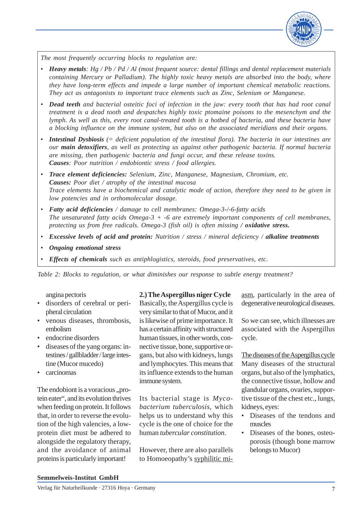

*The most frequently occurring blocks to regulation are:*

- *Heavy metals: Hg / Pb / Pd / Al (most frequent source: dental fillings and dental replacement materials containing Mercury or Palladium). The highly toxic heavy metals are absorbed into the body, where they have long-term effects and impede a large number of important chemical metabolic reactions. They act as antagonists to important trace elements such as Zinc, Selenium or Manganese.*
- *Dead teeth and bacterial osteitic foci of infection in the jaw: every tooth that has had root canal treatment is a dead tooth and despatches highly toxic ptomaine poisons to the mesenchym and the lymph. As well as this, every root canal-treated tooth is a hotbed of bacteria, and these bacteria have a blocking influence on the immune system, but also on the associated meridians and their organs.*
- *Intestinal Dysbiosis (= deficient population of the intestinal flora). The bacteria in our intestines are our main detoxifiers, as well as protecting us against other pathogenic bacteria. If normal bacteria are missing, then pathogenic bacteria and fungi occur, and these release toxins. Causes: Poor nutrition / endobiontic stress / food allergies.*
- *Trace element deficiencies: Selenium, Zinc, Manganese, Magnesium, Chromium, etc. Causes: Poor diet / atrophy of the intestinal mucosa Trace elements have a biochemical and catalytic mode of action, therefore they need to be given in low potencies and in orthomolecular dosage.*
- *Fatty acid deficiencies / damage to cell membranes: Omega-3-/-6-fatty acids The unsaturated fatty acids Omega-3 + -6 are extremely important components of cell membranes, protecting us from free radicals. Omega-3 (fish oil) is often missing / oxidative stress.*
- *Excessive levels of acid and protein: Nutrition / stress / mineral deficiency / alkaline treatments*
- *Ongoing emotional stress*
- *Effects of chemicals such as antiphlogistics, steroids, food preservatives, etc.*

*Table 2: Blocks to regulation, or what diminishes our response to subtle energy treatment?*

angina pectoris

- disorders of cerebral or peripheral circulation
- venous diseases, thrombosis, embolism
- endocrine disorders
- diseases of the yang organs: intestines / gallbladder / large intestine (Mucor mucedo)
- carcinomas

The endobiont is a voracious "protein eater", and its evolution thrives when feeding on protein. It follows that, in order to reverse the evolution of the high valencies, a lowprotein diet must be adhered to alongside the regulatory therapy, and the avoidance of animal proteins is particularly important!

## **2.)The Aspergillus niger Cycle**

Basically, the Aspergillus cycle is very similar to that of Mucor, and it is likewise of prime importance. It has a certain affinity with structured human tissues, in other words, connective tissue, bone, supportive organs, but also with kidneys, lungs and lymphocytes. This means that its influence extends to the human immune system.

Its bacterial stage is *Mycobacterium tuberculosis*, which helps us to understand why this cycle is the one of choice for the human *tubercular constitution*.

However, there are also parallels to Homoeopathy's syphilitic miasm, particularly in the area of degenerative neurological diseases.

So we can see, which illnesses are associated with the Aspergillus cycle.

The diseases of the Aspergillus cycle Many diseases of the structural organs, but also of the lymphatics, the connective tissue, hollow and glandular organs, ovaries, supportive tissue of the chest etc., lungs, kidneys, eyes:

- Diseases of the tendons and muscles
- Diseases of the bones, osteoporosis (though bone marrow belongs to Mucor)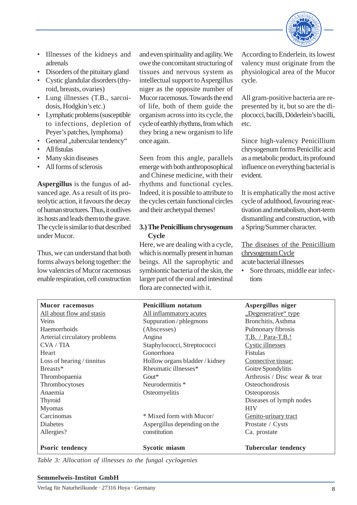

- Illnesses of the kidneys and adrenals
- Disorders of the pituitary gland
- Cystic glandular disorders (thyroid, breasts, ovaries)
- Lung illnesses (T.B., sarcoidosis, Hodgkin's etc.)
- Lymphatic problems (susceptible to infections, depletion of Peyer's patches, lymphoma)
- General "tubercular tendency"
- All fistulas
- Many skin diseases
- All forms of sclerosis

**Aspergillus** is the fungus of advanced age. As a result of its proteolytic action, it favours the decay of human structures. Thus, it outlives its hosts and leads them to the grave. The cycle is similar to that described under Mucor.

Thus, we can understand that both forms always belong together: the low valencies of Mucor racemosus enable respiration, cell construction

and even spirituality and agility. We owe the concomitant structuring of tissues and nervous system as intellectual support to Aspergillus niger as the opposite number of Mucor racemosus. Towards the end of life, both of them guide the organism across into its cycle, the cycle of earthly rhythms, from which they bring a new organism to life once again.

Seen from this angle, parallels emerge with both anthroposophical and Chinese medicine, with their rhythms and functional cycles. Indeed, it is possible to attribute to the cycles certain functional circles and their archetypal themes!

## **3.)The Penicillium chrysogenum Cycle**

Here, we are dealing with a cycle, which is normally present in human beings. All the saprophytic and symbiontic bacteria of the skin, the larger part of the oral and intestinal flora are connected with it.

According to Enderlein, its lowest valency must originate from the physiological area of the Mucor cycle.

All gram-positive bacteria are represented by it, but so are the diplococci, bacilli, Döderlein's bacilli, etc.

Since high-valency Penicillium chrysogenum forms Penicillic acid as a metabolic product, its profound influence on everything bacterial is evident.

It is emphatically the most active cycle of adulthood, favouring reactivation and metabolism, short-term dismantling and construction, with a Spring/Summer character.

The diseases of the Penicillium chrysogenum Cycle acute bacterial illnesses

• Sore throats, middle ear infections

| <b>Mucor</b> racemosus        | <b>Penicillium</b> notatum     | Aspergillus niger            |
|-------------------------------|--------------------------------|------------------------------|
| All about flow and stasis     | All inflammatory acutes        | "Degenerative" type          |
| Veins                         | Suppuration / phlegmons        | Bronchitis, Asthma           |
| Haemorrhoids                  | (Abscesses)                    | Pulmonary fibrosis           |
| Arterial circulatory problems | Angina                         | T.B. / Para-T.B.!            |
| CVA / TIA                     | Staphylococci, Streptococci    | Cystic illnesses             |
| Heart                         | Gonorrhoea                     | <b>Fistulas</b>              |
| Loss of hearing / tinnitus    | Hollow organs bladder / kidney | Connective tissue:           |
| Breasts*                      | Rheumatic illnesses*           | Goitre Spondylitis           |
| Thrombopaenia                 | $Gout*$                        | Arthrosis / Disc wear & tear |
| Thrombocytoses                | Neurodermitis <sup>*</sup>     | Osteochondrosis              |
| Anaemia                       | Osteomyelitis                  | Osteoporosis                 |
| <b>Thyroid</b>                |                                | Diseases of lymph nodes      |
| Myomas                        |                                | <b>HIV</b>                   |
| Carcinomas                    | * Mixed form with Mucor/       | Genito-urinary tract         |
| Diabetes                      | Aspergillus depending on the   | Prostate / Cysts             |
| Allergies?                    | constitution                   | Ca. prostate                 |
| <b>Psoric tendency</b>        | <b>Sycotic miasm</b>           | <b>Tubercular tendency</b>   |

*Table 3: Allocation of illnesses to the fungal cyclogenies*

#### **Semmelweis-Institut GmbH**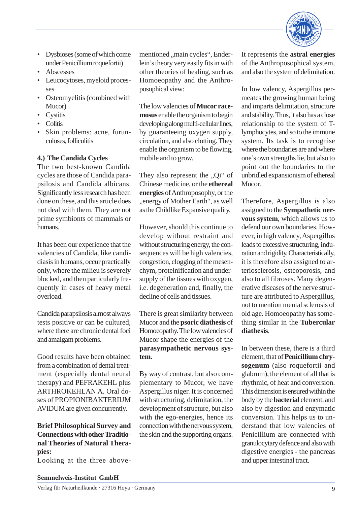

- Dysbioses (some of which come under Penicillium roquefortii)
- Abscesses
- Leucocytoses, myeloid processes
- Osteomyelitis (combined with Mucor)
- Cystitis
- Colitis
- Skin problems: acne, furunculoses, folliculitis

## **4.) The Candida Cycles**

The two best-known Candida cycles are those of Candida parapsilosis and Candida albicans. Significantly less research has been done on these, and this article does not deal with them. They are not prime symbionts of mammals or humans.

It has been our experience that the valencies of Candida, like candidiasis in humans, occur practically only, where the milieu is severely blocked, and then particularly frequently in cases of heavy metal overload.

Candida parapsilosis almost always tests positive or can be cultured, where there are chronic dental foci and amalgam problems.

Good results have been obtained from a combination of dental treatment (especially dental neural therapy) and PEFRAKEHL plus ARTHROKEHLAN A. Oral doses of PROPIONIBAKTERIUM AVIDUM are given concurrently.

# **Brief Philosophical Survey and Connections with other Traditional Theories of Natural Therapies:**

Looking at the three above-

mentioned "main cycles", Enderlein's theory very easily fits in with other theories of healing, such as Homoeopathy and the Anthroposophical view:

The low valencies of **Mucor racemosus** enable the organism to begin developing along multi-cellular lines, by guaranteeing oxygen supply, circulation, and also clotting. They enable the organism to be flowing, mobile and to grow.

They also represent the  $\partial$ <sup>"</sup> of Chinese medicine, or the **ethereal energies** of Anthroposophy, or the "energy of Mother Earth", as well as the Childlike Expansive quality.

However, should this continue to develop without restraint and without structuring energy, the consequences will be high valencies, congestion, clogging of the mesenchym, proteinification and undersupply of the tissues with oxygen, i.e. degeneration and, finally, the decline of cells and tissues.

There is great similarity between Mucor and the **psoric diathesis** of Homoeopathy. The low valencies of Mucor shape the energies of the **parasympathetic nervous system**.

By way of contrast, but also complementary to Mucor, we have Aspergillus niger. It is concerned with structuring, delimitation, the development of structure, but also with the ego-energies, hence its connection with the nervous system, the skin and the supporting organs.

It represents the **astral energies** of the Anthroposophical system, and also the system of delimitation.

In low valency, Aspergillus permeates the growing human being and imparts delimitation, structure and stability. Thus, it also has a close relationship to the system of Tlymphocytes, and so to the immune system. Its task is to recognise where the boundaries are and where one's own strengths lie, but also to point out the boundaries to the unbridled expansionism of ethereal Mucor.

Therefore, Aspergillus is also assigned to the **Sympathetic nervous system**, which allows us to defend our own boundaries. However, in high valency, Aspergillus leads to excessive structuring, induration and rigidity. Characteristically, it is therefore also assigned to arteriosclerosis, osteoporosis, and also to all fibroses. Many degenerative diseases of the nerve structure are attributed to Aspergillus, not to mention mental sclerosis of old age. Homoeopathy has something similar in the **Tubercular diathesis**.

In between these, there is a third element, that of **Penicillium chrysogenum** (also roquefortii and glabrum), the element of all that is rhythmic, of heat and conversion. This dimension is ensured within the body by the **bacterial** element, and also by digestion and enzymatic conversion. This helps us to understand that low valencies of Penicillium are connected with granulocytary defence and also with digestive energies - the pancreas and upper intestinal tract.

### **Semmelweis-Institut GmbH**